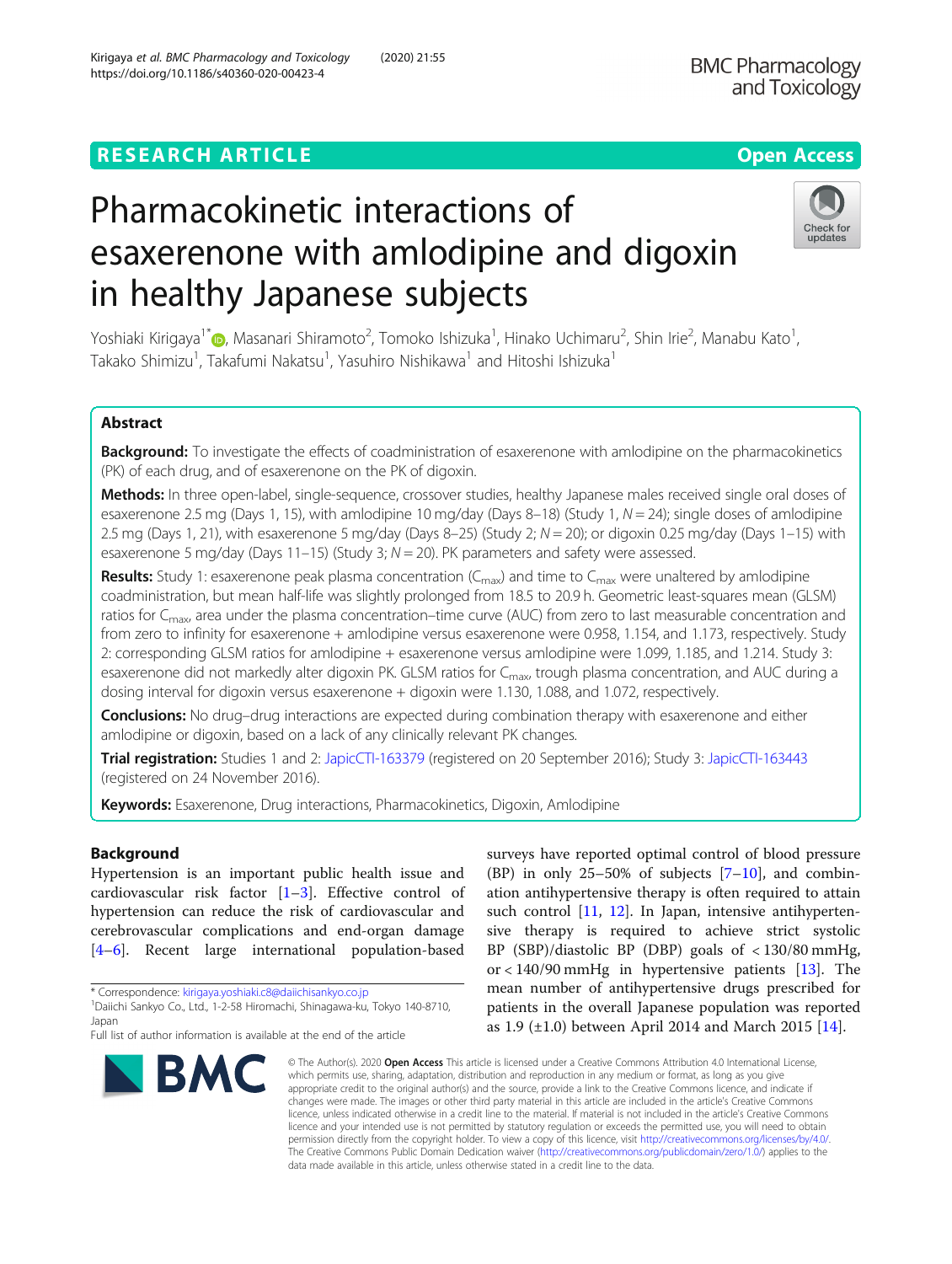# **RESEARCH ARTICLE Example 2014 12:30 The Contract of Contract ACCESS**

# Pharmacokinetic interactions of esaxerenone with amlodipine and digoxin in healthy Japanese subjects

Yoshiaki Kirigaya<sup>1[\\*](http://orcid.org/0000-0002-8581-0381)</sup>@, Masanari Shiramoto<sup>2</sup>, Tomoko Ishizuka<sup>1</sup>, Hinako Uchimaru<sup>2</sup>, Shin Irie<sup>2</sup>, Manabu Kato<sup>1</sup> , Takako Shimizu $^1$ , Takafumi Nakatsu $^1$ , Yasuhiro Nishikawa $^1$  and Hitoshi Ishizuka $^1$ 

## Abstract

Background: To investigate the effects of coadministration of esaxerenone with amlodipine on the pharmacokinetics (PK) of each drug, and of esaxerenone on the PK of digoxin.

Methods: In three open-label, single-sequence, crossover studies, healthy Japanese males received single oral doses of esaxerenone 2.5 mg (Days 1, 15), with amlodipine 10 mg/day (Days 8-18) (Study 1, N = 24); single doses of amlodipine 2.5 mg (Days 1, 21), with esaxerenone 5 mg/day (Days 8–25) (Study 2;  $N = 20$ ); or digoxin 0.25 mg/day (Days 1–15) with esaxerenone 5 mg/day (Days 11-15) (Study 3;  $N = 20$ ). PK parameters and safety were assessed.

**Results:** Study 1: esaxerenone peak plasma concentration ( $C_{\text{max}}$ ) and time to  $C_{\text{max}}$  were unaltered by amlodipine coadministration, but mean half-life was slightly prolonged from 18.5 to 20.9 h. Geometric least-squares mean (GLSM) ratios for  $C_{\text{max}}$ , area under the plasma concentration–time curve (AUC) from zero to last measurable concentration and from zero to infinity for esaxerenone + amlodipine versus esaxerenone were 0.958, 1.154, and 1.173, respectively. Study 2: corresponding GLSM ratios for amlodipine + esaxerenone versus amlodipine were 1.099, 1.185, and 1.214. Study 3: esaxerenone did not markedly alter digoxin PK. GLSM ratios for C<sub>max</sub>, trough plasma concentration, and AUC during a dosing interval for digoxin versus esaxerenone + digoxin were 1.130, 1.088, and 1.072, respectively.

Conclusions: No drug-drug interactions are expected during combination therapy with esaxerenone and either amlodipine or digoxin, based on a lack of any clinically relevant PK changes.

Trial registration: Studies 1 and 2: [JapicCTI-163379](https://www.clinicaltrials.jp/cti-user/trial/ShowDirect.jsp?clinicalTrialId=26886) (registered on 20 September 2016); Study 3: [JapicCTI-163443](https://www.clinicaltrials.jp/cti-user/trial/ShowDirect.jsp?clinicalTrialId=26938) (registered on 24 November 2016).

Keywords: Esaxerenone, Drug interactions, Pharmacokinetics, Digoxin, Amlodipine

## Background

Hypertension is an important public health issue and cardiovascular risk factor [\[1](#page-8-0)–[3\]](#page-8-0). Effective control of hypertension can reduce the risk of cardiovascular and cerebrovascular complications and end-organ damage [[4](#page-8-0)–[6\]](#page-8-0). Recent large international population-based

Japan

#### or  $< 140/90$  mmHg in hypertensive patients [[13\]](#page-8-0). The mean number of antihypertensive drugs prescribed for patients in the overall Japanese population was reported as 1.9 (±1.0) between April 2014 and March 2015 [\[14](#page-8-0)]. \* Correspondence: [kirigaya.yoshiaki.c8@daiichisankyo.co.jp](mailto:kirigaya.yoshiaki.c8@daiichisankyo.co.jp) <sup>1</sup> Daiichi Sankyo Co., Ltd., 1-2-58 Hiromachi, Shinagawa-ku, Tokyo 140-8710,

© The Author(s), 2020 **Open Access** This article is licensed under a Creative Commons Attribution 4.0 International License, which permits use, sharing, adaptation, distribution and reproduction in any medium or format, as long as you give appropriate credit to the original author(s) and the source, provide a link to the Creative Commons licence, and indicate if changes were made. The images or other third party material in this article are included in the article's Creative Commons licence, unless indicated otherwise in a credit line to the material. If material is not included in the article's Creative Commons licence and your intended use is not permitted by statutory regulation or exceeds the permitted use, you will need to obtain permission directly from the copyright holder. To view a copy of this licence, visit [http://creativecommons.org/licenses/by/4.0/.](http://creativecommons.org/licenses/by/4.0/) The Creative Commons Public Domain Dedication waiver [\(http://creativecommons.org/publicdomain/zero/1.0/](http://creativecommons.org/publicdomain/zero/1.0/)) applies to the data made available in this article, unless otherwise stated in a credit line to the data.

surveys have reported optimal control of blood pressure (BP) in only  $25-50\%$  of subjects  $[7-10]$  $[7-10]$  $[7-10]$  $[7-10]$ , and combination antihypertensive therapy is often required to attain such control [[11,](#page-8-0) [12](#page-8-0)]. In Japan, intensive antihypertensive therapy is required to achieve strict systolic BP (SBP)/diastolic BP (DBP) goals of < 130/80 mmHg,







Full list of author information is available at the end of the article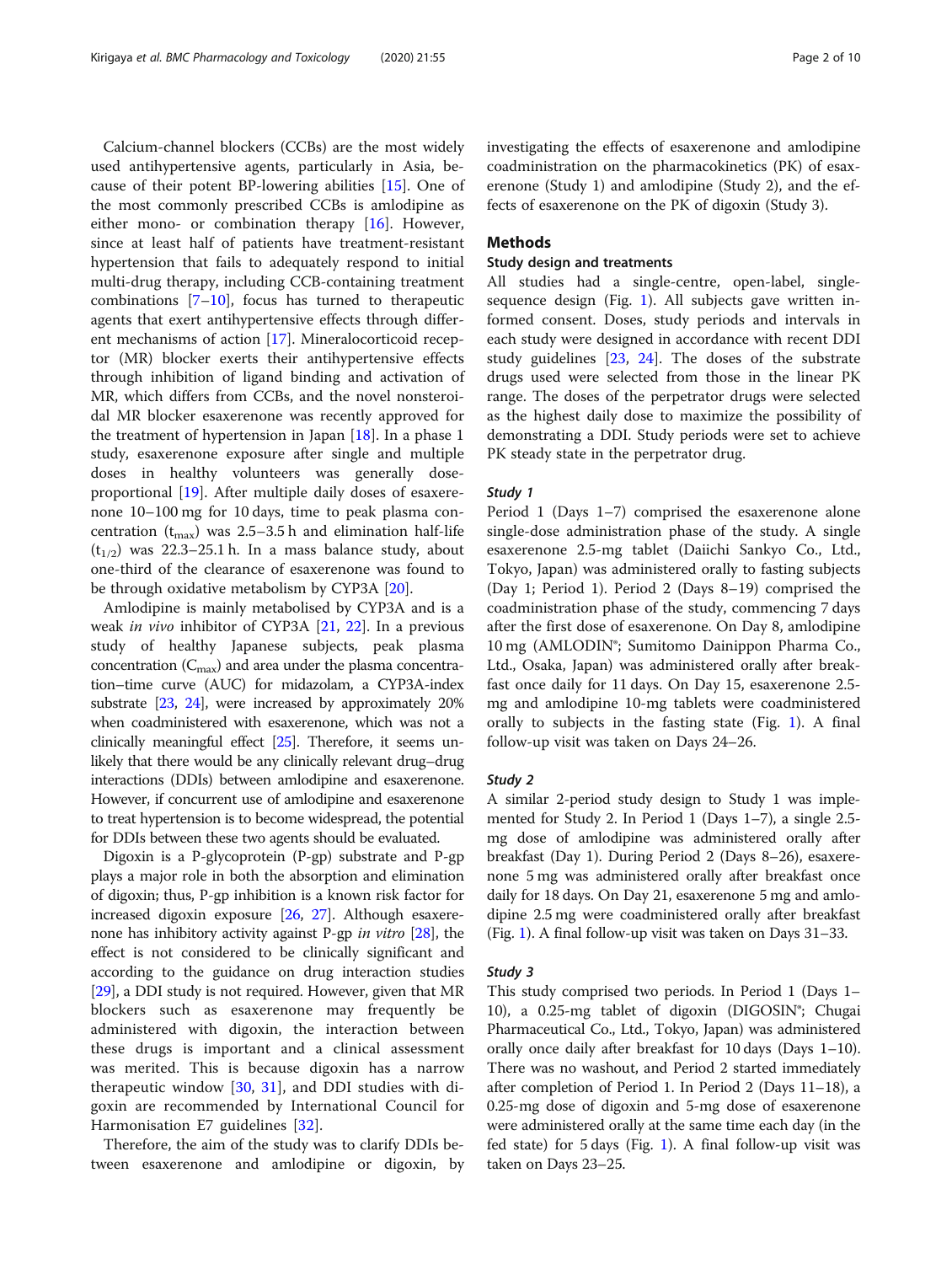Calcium-channel blockers (CCBs) are the most widely used antihypertensive agents, particularly in Asia, because of their potent BP-lowering abilities [[15\]](#page-8-0). One of the most commonly prescribed CCBs is amlodipine as either mono- or combination therapy [[16\]](#page-8-0). However, since at least half of patients have treatment-resistant hypertension that fails to adequately respond to initial multi-drug therapy, including CCB-containing treatment combinations [[7](#page-8-0)–[10](#page-8-0)], focus has turned to therapeutic agents that exert antihypertensive effects through different mechanisms of action [[17](#page-8-0)]. Mineralocorticoid receptor (MR) blocker exerts their antihypertensive effects through inhibition of ligand binding and activation of MR, which differs from CCBs, and the novel nonsteroidal MR blocker esaxerenone was recently approved for the treatment of hypertension in Japan [\[18](#page-8-0)]. In a phase 1 study, esaxerenone exposure after single and multiple doses in healthy volunteers was generally doseproportional [[19\]](#page-8-0). After multiple daily doses of esaxerenone 10–100 mg for 10 days, time to peak plasma concentration ( $t_{\text{max}}$ ) was 2.5–3.5 h and elimination half-life  $(t_{1/2})$  was 22.3–25.1 h. In a mass balance study, about one-third of the clearance of esaxerenone was found to be through oxidative metabolism by CYP3A [\[20](#page-8-0)].

Amlodipine is mainly metabolised by CYP3A and is a weak in vivo inhibitor of CYP3A [[21,](#page-8-0) [22](#page-8-0)]. In a previous study of healthy Japanese subjects, peak plasma concentration  $(C_{\text{max}})$  and area under the plasma concentration–time curve (AUC) for midazolam, a CYP3A-index substrate [[23](#page-8-0), [24](#page-8-0)], were increased by approximately 20% when coadministered with esaxerenone, which was not a clinically meaningful effect [\[25\]](#page-8-0). Therefore, it seems unlikely that there would be any clinically relevant drug–drug interactions (DDIs) between amlodipine and esaxerenone. However, if concurrent use of amlodipine and esaxerenone to treat hypertension is to become widespread, the potential for DDIs between these two agents should be evaluated.

Digoxin is a P-glycoprotein (P-gp) substrate and P-gp plays a major role in both the absorption and elimination of digoxin; thus, P-gp inhibition is a known risk factor for increased digoxin exposure [\[26,](#page-8-0) [27\]](#page-8-0). Although esaxerenone has inhibitory activity against P-gp in vitro  $[28]$  $[28]$  $[28]$ , the effect is not considered to be clinically significant and according to the guidance on drug interaction studies [[29](#page-8-0)], a DDI study is not required. However, given that MR blockers such as esaxerenone may frequently be administered with digoxin, the interaction between these drugs is important and a clinical assessment was merited. This is because digoxin has a narrow therapeutic window [\[30](#page-8-0), [31\]](#page-8-0), and DDI studies with digoxin are recommended by International Council for Harmonisation E7 guidelines [[32\]](#page-8-0).

Therefore, the aim of the study was to clarify DDIs between esaxerenone and amlodipine or digoxin, by investigating the effects of esaxerenone and amlodipine coadministration on the pharmacokinetics (PK) of esaxerenone (Study 1) and amlodipine (Study 2), and the effects of esaxerenone on the PK of digoxin (Study 3).

## Methods

## Study design and treatments

All studies had a single-centre, open-label, singlesequence design (Fig. [1](#page-2-0)). All subjects gave written informed consent. Doses, study periods and intervals in each study were designed in accordance with recent DDI study guidelines [[23,](#page-8-0) [24](#page-8-0)]. The doses of the substrate drugs used were selected from those in the linear PK range. The doses of the perpetrator drugs were selected as the highest daily dose to maximize the possibility of demonstrating a DDI. Study periods were set to achieve PK steady state in the perpetrator drug.

## Study 1

Period 1 (Days 1–7) comprised the esaxerenone alone single-dose administration phase of the study. A single esaxerenone 2.5-mg tablet (Daiichi Sankyo Co., Ltd., Tokyo, Japan) was administered orally to fasting subjects (Day 1; Period 1). Period 2 (Days 8–19) comprised the coadministration phase of the study, commencing 7 days after the first dose of esaxerenone. On Day 8, amlodipine 10 mg (AMLODIN®; Sumitomo Dainippon Pharma Co., Ltd., Osaka, Japan) was administered orally after breakfast once daily for 11 days. On Day 15, esaxerenone 2.5 mg and amlodipine 10-mg tablets were coadministered orally to subjects in the fasting state (Fig. [1](#page-2-0)). A final follow-up visit was taken on Days 24–26.

## Study 2

A similar 2-period study design to Study 1 was implemented for Study 2. In Period 1 (Days 1–7), a single 2.5 mg dose of amlodipine was administered orally after breakfast (Day 1). During Period 2 (Days 8–26), esaxerenone 5 mg was administered orally after breakfast once daily for 18 days. On Day 21, esaxerenone 5 mg and amlodipine 2.5 mg were coadministered orally after breakfast (Fig. [1](#page-2-0)). A final follow-up visit was taken on Days 31–33.

#### Study 3

This study comprised two periods. In Period 1 (Days 1– 10), a 0.25-mg tablet of digoxin (DIGOSIN®; Chugai Pharmaceutical Co., Ltd., Tokyo, Japan) was administered orally once daily after breakfast for 10 days (Days 1–10). There was no washout, and Period 2 started immediately after completion of Period 1. In Period 2 (Days 11–18), a 0.25-mg dose of digoxin and 5-mg dose of esaxerenone were administered orally at the same time each day (in the fed state) for 5 days (Fig. [1\)](#page-2-0). A final follow-up visit was taken on Days 23–25.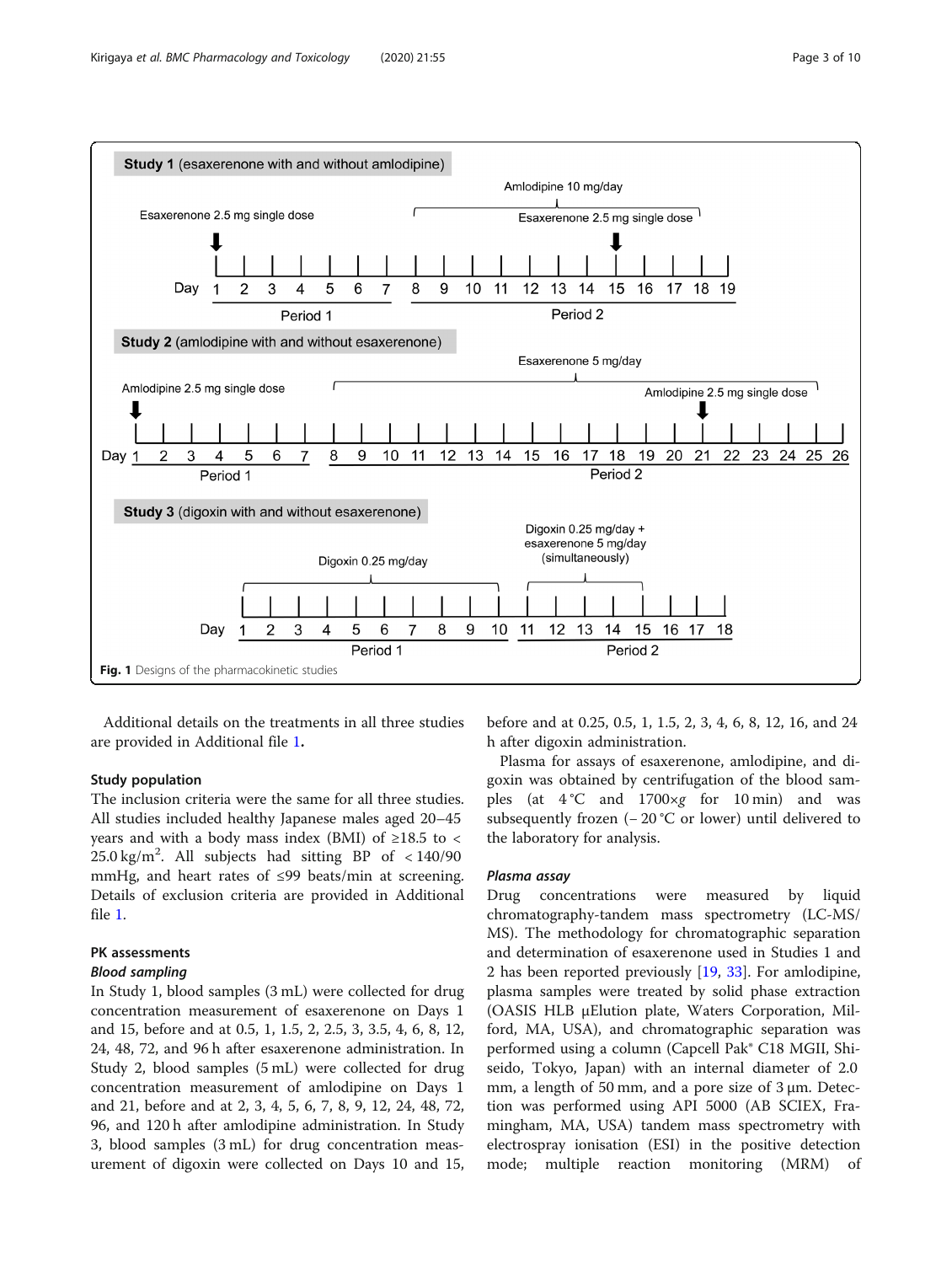<span id="page-2-0"></span>

Additional details on the treatments in all three studies are provided in Additional file [1](#page-7-0).

## Study population

The inclusion criteria were the same for all three studies. All studies included healthy Japanese males aged 20–45 years and with a body mass index (BMI) of  $\geq$ 18.5 to <  $25.0 \text{ kg/m}^2$ . All subjects had sitting BP of < 140/90 mmHg, and heart rates of ≤99 beats/min at screening. Details of exclusion criteria are provided in Additional file [1.](#page-7-0)

## PK assessments

## Blood sampling

In Study 1, blood samples (3 mL) were collected for drug concentration measurement of esaxerenone on Days 1 and 15, before and at 0.5, 1, 1.5, 2, 2.5, 3, 3.5, 4, 6, 8, 12, 24, 48, 72, and 96 h after esaxerenone administration. In Study 2, blood samples (5 mL) were collected for drug concentration measurement of amlodipine on Days 1 and 21, before and at 2, 3, 4, 5, 6, 7, 8, 9, 12, 24, 48, 72, 96, and 120 h after amlodipine administration. In Study 3, blood samples (3 mL) for drug concentration measurement of digoxin were collected on Days 10 and 15,

before and at 0.25, 0.5, 1, 1.5, 2, 3, 4, 6, 8, 12, 16, and 24 h after digoxin administration.

Plasma for assays of esaxerenone, amlodipine, and digoxin was obtained by centrifugation of the blood samples (at  $4^{\circ}$ C and  $1700 \times g$  for 10 min) and was subsequently frozen (− 20 °C or lower) until delivered to the laboratory for analysis.

## Plasma assay

Drug concentrations were measured by liquid chromatography-tandem mass spectrometry (LC-MS/ MS). The methodology for chromatographic separation and determination of esaxerenone used in Studies 1 and 2 has been reported previously [\[19](#page-8-0), [33\]](#page-8-0). For amlodipine, plasma samples were treated by solid phase extraction (OASIS HLB μElution plate, Waters Corporation, Milford, MA, USA), and chromatographic separation was performed using a column (Capcell Pak® C18 MGII, Shiseido, Tokyo, Japan) with an internal diameter of 2.0 mm, a length of 50 mm, and a pore size of 3 μm. Detection was performed using API 5000 (AB SCIEX, Framingham, MA, USA) tandem mass spectrometry with electrospray ionisation (ESI) in the positive detection mode; multiple reaction monitoring (MRM) of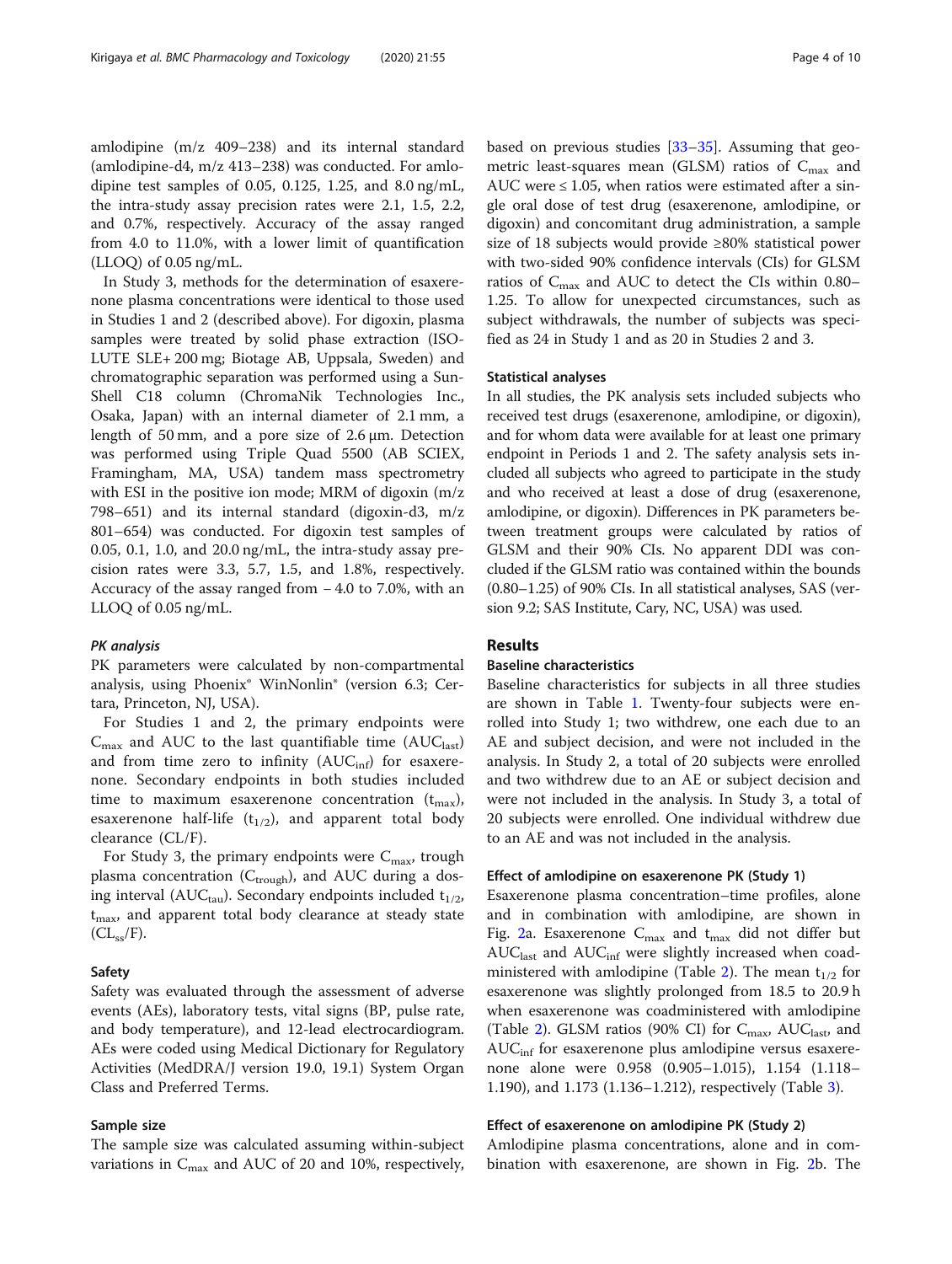amlodipine (m/z 409–238) and its internal standard (amlodipine-d4, m/z 413–238) was conducted. For amlodipine test samples of 0.05, 0.125, 1.25, and 8.0 ng/mL, the intra-study assay precision rates were 2.1, 1.5, 2.2, and 0.7%, respectively. Accuracy of the assay ranged from 4.0 to 11.0%, with a lower limit of quantification (LLOQ) of 0.05 ng/mL.

In Study 3, methods for the determination of esaxerenone plasma concentrations were identical to those used in Studies 1 and 2 (described above). For digoxin, plasma samples were treated by solid phase extraction (ISO-LUTE SLE+ 200 mg; Biotage AB, Uppsala, Sweden) and chromatographic separation was performed using a Sun-Shell C18 column (ChromaNik Technologies Inc., Osaka, Japan) with an internal diameter of 2.1 mm, a length of 50 mm, and a pore size of 2.6 μm. Detection was performed using Triple Quad 5500 (AB SCIEX, Framingham, MA, USA) tandem mass spectrometry with ESI in the positive ion mode; MRM of digoxin (m/z 798–651) and its internal standard (digoxin-d3, m/z 801–654) was conducted. For digoxin test samples of 0.05, 0.1, 1.0, and 20.0 ng/mL, the intra-study assay precision rates were 3.3, 5.7, 1.5, and 1.8%, respectively. Accuracy of the assay ranged from − 4.0 to 7.0%, with an LLOQ of 0.05 ng/mL.

#### PK analysis

PK parameters were calculated by non-compartmental analysis, using Phoenix® WinNonlin® (version 6.3; Certara, Princeton, NJ, USA).

For Studies 1 and 2, the primary endpoints were  $C_{\text{max}}$  and AUC to the last quantifiable time (AUC<sub>last</sub>) and from time zero to infinity  $(AUC_{\text{inf}})$  for esaxerenone. Secondary endpoints in both studies included time to maximum esaxerenone concentration  $(t_{\text{max}})$ , esaxerenone half-life  $(t_{1/2})$ , and apparent total body clearance (CL/F).

For Study 3, the primary endpoints were  $C_{\text{max}}$ , trough plasma concentration ( $C_{\text{trough}}$ ), and AUC during a dosing interval (AUC<sub>tau</sub>). Secondary endpoints included  $t_{1/2}$ , t<sub>max</sub>, and apparent total body clearance at steady state  $CL_{ss}/F$ ).

#### Safety

Safety was evaluated through the assessment of adverse events (AEs), laboratory tests, vital signs (BP, pulse rate, and body temperature), and 12-lead electrocardiogram. AEs were coded using Medical Dictionary for Regulatory Activities (MedDRA/J version 19.0, 19.1) System Organ Class and Preferred Terms.

## Sample size

The sample size was calculated assuming within-subject variations in  $C_{\text{max}}$  and AUC of 20 and 10%, respectively, based on previous studies [[33](#page-8-0)–[35](#page-9-0)]. Assuming that geometric least-squares mean (GLSM) ratios of  $C_{\text{max}}$  and AUC were  $\leq 1.05$ , when ratios were estimated after a single oral dose of test drug (esaxerenone, amlodipine, or digoxin) and concomitant drug administration, a sample size of 18 subjects would provide ≥80% statistical power with two-sided 90% confidence intervals (CIs) for GLSM

ratios of  $C_{\text{max}}$  and AUC to detect the CIs within 0.80– 1.25. To allow for unexpected circumstances, such as subject withdrawals, the number of subjects was specified as 24 in Study 1 and as 20 in Studies 2 and 3.

#### Statistical analyses

In all studies, the PK analysis sets included subjects who received test drugs (esaxerenone, amlodipine, or digoxin), and for whom data were available for at least one primary endpoint in Periods 1 and 2. The safety analysis sets included all subjects who agreed to participate in the study and who received at least a dose of drug (esaxerenone, amlodipine, or digoxin). Differences in PK parameters between treatment groups were calculated by ratios of GLSM and their 90% CIs. No apparent DDI was concluded if the GLSM ratio was contained within the bounds (0.80–1.25) of 90% CIs. In all statistical analyses, SAS (version 9.2; SAS Institute, Cary, NC, USA) was used.

## Results

## Baseline characteristics

Baseline characteristics for subjects in all three studies are shown in Table [1.](#page-4-0) Twenty-four subjects were enrolled into Study 1; two withdrew, one each due to an AE and subject decision, and were not included in the analysis. In Study 2, a total of 20 subjects were enrolled and two withdrew due to an AE or subject decision and were not included in the analysis. In Study 3, a total of 20 subjects were enrolled. One individual withdrew due to an AE and was not included in the analysis.

## Effect of amlodipine on esaxerenone PK (Study 1)

Esaxerenone plasma concentration–time profiles, alone and in combination with amlodipine, are shown in Fig. [2a](#page-4-0). Esaxerenone  $C_{\text{max}}$  and  $t_{\text{max}}$  did not differ but  $AUC<sub>last</sub>$  and  $AUC<sub>inf</sub>$  were slightly increased when coad-ministered with amlodipine (Table [2](#page-5-0)). The mean  $t_{1/2}$  for esaxerenone was slightly prolonged from 18.5 to 20.9 h when esaxerenone was coadministered with amlodipine (Table [2](#page-5-0)). GLSM ratios (90% CI) for  $C_{\text{max}}$ , AU $C_{\text{last}}$ , and  $AUC<sub>inf</sub>$  for esaxerenone plus amlodipine versus esaxerenone alone were 0.958 (0.905–1.015), 1.154 (1.118– 1.190), and 1.173 (1.136–1.212), respectively (Table [3\)](#page-5-0).

## Effect of esaxerenone on amlodipine PK (Study 2)

Amlodipine plasma concentrations, alone and in combination with esaxerenone, are shown in Fig. [2](#page-4-0)b. The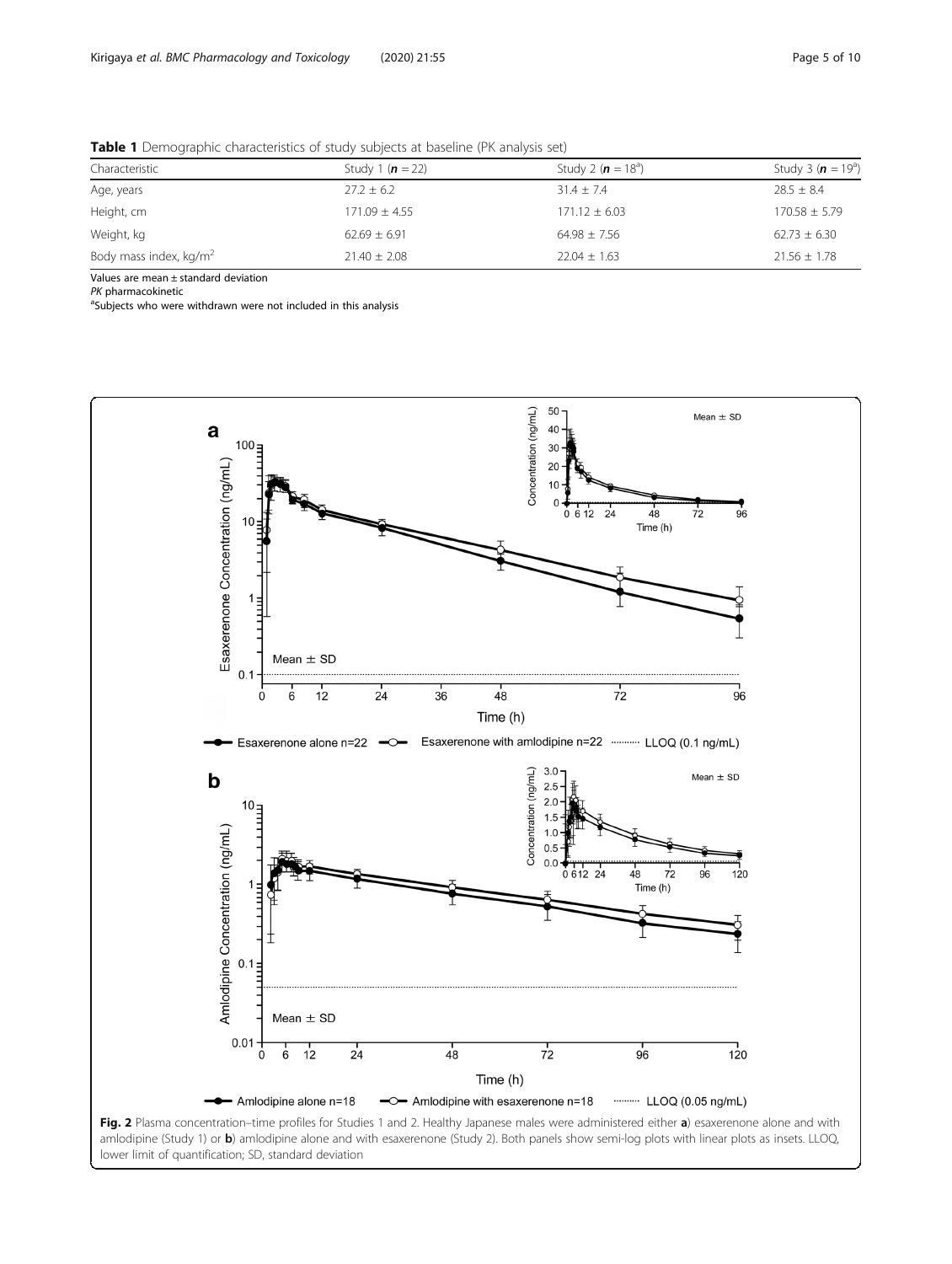<span id="page-4-0"></span>

| Table 1 Demographic characteristics of study subjects at baseline (PK analysis set) |  |
|-------------------------------------------------------------------------------------|--|
|-------------------------------------------------------------------------------------|--|

| Characteristic            | Study 1 ( $n = 22$ ) | Study 2 ( $n = 18a$ ) | Study 3 ( $n = 19a$ ) |
|---------------------------|----------------------|-----------------------|-----------------------|
| Age, years                | $27.2 \pm 6.2$       | $31.4 \pm 7.4$        | $28.5 \pm 8.4$        |
| Height, cm                | $171.09 \pm 4.55$    | $171.12 \pm 6.03$     | $170.58 \pm 5.79$     |
| Weight, kg                | $62.69 \pm 6.91$     | $64.98 \pm 7.56$      | $62.73 \pm 6.30$      |
| Body mass index, $kg/m^2$ | $21.40 \pm 2.08$     | $22.04 \pm 1.63$      | $21.56 \pm 1.78$      |

Values are mean ± standard deviation

PK pharmacokinetic

<sup>a</sup>Subjects who were withdrawn were not included in this analysis



lower limit of quantification; SD, standard deviation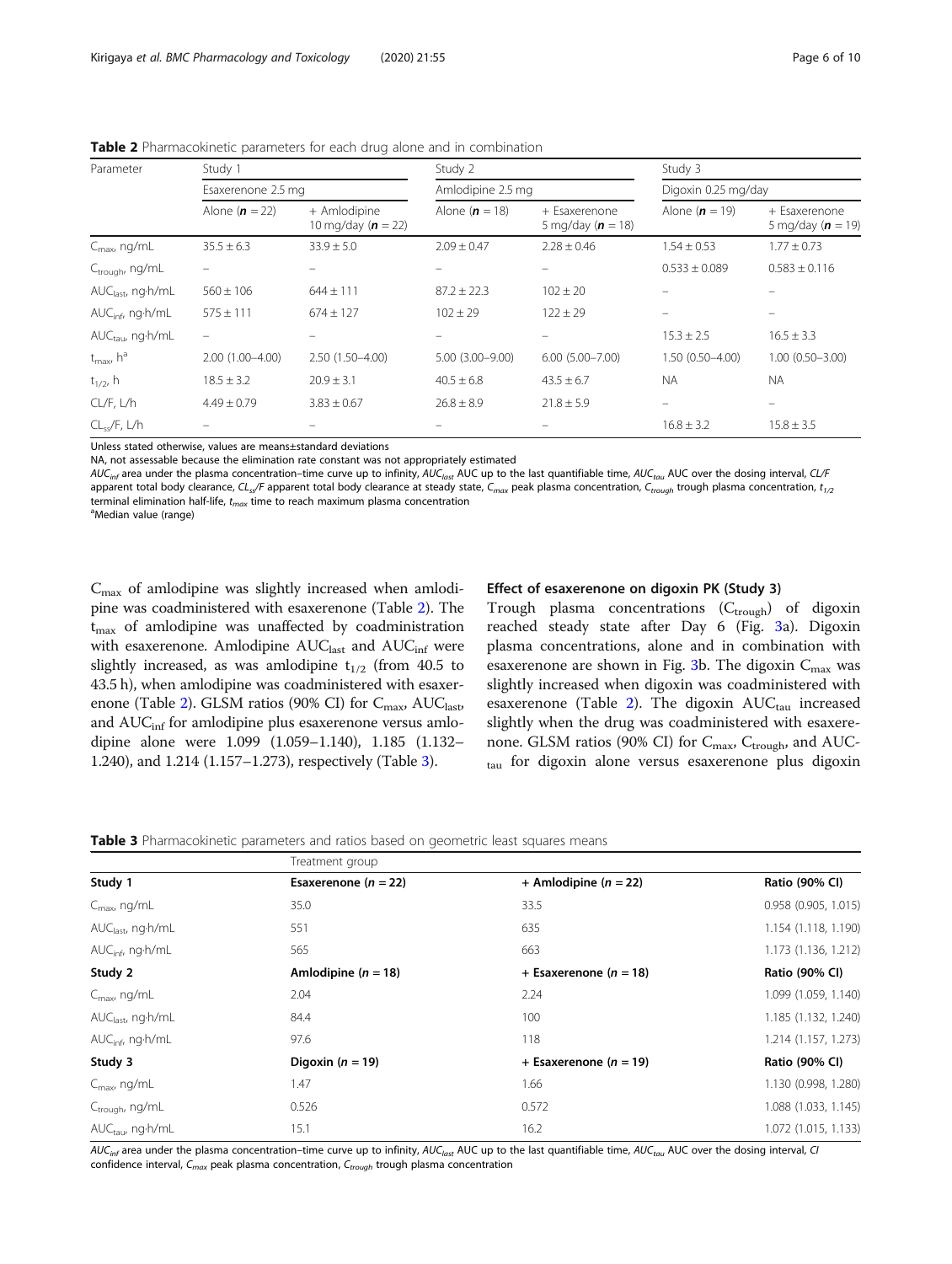| Parameter                       | Study 1                  |                                      | Study 2             |                                      | Study 3             |                                        |
|---------------------------------|--------------------------|--------------------------------------|---------------------|--------------------------------------|---------------------|----------------------------------------|
|                                 | Esaxerenone 2.5 mg       |                                      | Amlodipine 2.5 mg   |                                      | Digoxin 0.25 mg/day |                                        |
|                                 | Alone $(n = 22)$         | + Amlodipine<br>10 mg/day $(n = 22)$ | Alone $(n = 18)$    | + Esaxerenone<br>5 mg/day $(n = 18)$ | Alone ( $n = 19$ )  | + Esaxerenone<br>5 mg/day ( $n = 19$ ) |
| $C_{\sf max}$ ng/mL             | $35.5 \pm 6.3$           | $33.9 \pm 5.0$                       | $2.09 \pm 0.47$     | $2.28 \pm 0.46$                      | $1.54 \pm 0.53$     | $1.77 \pm 0.73$                        |
| C <sub>trough</sub> , ng/mL     |                          |                                      |                     |                                      | $0.533 \pm 0.089$   | $0.583 \pm 0.116$                      |
| AUC <sub>last</sub> , ng·h/mL   | $560 \pm 106$            | $644 \pm 111$                        | $87.2 \pm 22.3$     | $102 \pm 20$                         |                     |                                        |
| AUC <sub>infr</sub> ng·h/mL     | $575 \pm 111$            | $674 \pm 127$                        | $102 \pm 29$        | $122 \pm 29$                         |                     |                                        |
| $AUC_{tau}$ ng $\cdot h/mL$     | $\overline{\phantom{m}}$ |                                      |                     |                                      | $15.3 \pm 2.5$      | $16.5 \pm 3.3$                         |
| $t_{\text{max}}$ h <sup>a</sup> | $2.00(1.00 - 4.00)$      | 2.50 (1.50-4.00)                     | $5.00(3.00 - 9.00)$ | $6.00(5.00 - 7.00)$                  | $1.50(0.50 - 4.00)$ | $1.00(0.50 - 3.00)$                    |
| $t_{1/2}$ , h                   | $18.5 \pm 3.2$           | $20.9 \pm 3.1$                       | $40.5 \pm 6.8$      | $43.5 \pm 6.7$                       | <b>NA</b>           | <b>NA</b>                              |
| CL/F, L/h                       | $4.49 \pm 0.79$          | $3.83 \pm 0.67$                      | $26.8 \pm 8.9$      | $21.8 \pm 5.9$                       |                     |                                        |
| $CL_{ss}/F, L/h$                |                          |                                      |                     |                                      | $16.8 \pm 3.2$      | $15.8 \pm 3.5$                         |

<span id="page-5-0"></span>Table 2 Pharmacokinetic parameters for each drug alone and in combination

Unless stated otherwise, values are means±standard deviations

NA, not assessable because the elimination rate constant was not appropriately estimated

 $AUC_{inf}$  area under the plasma concentration–time curve up to infinity,  $AUC_{last}$  AUC up to the last quantifiable time,  $AUC_{tan}$  AUC over the dosing interval, CL/F apparent total body clearance, CL<sub>ss</sub>/F apparent total body clearance at steady state, C<sub>max</sub> peak plasma concentration, C<sub>trough</sub> trough plasma concentration,  $t_{1/2}$ terminal elimination half-life,  $t_{max}$  time to reach maximum plasma concentration Median value (range)

 $C_{\text{max}}$  of amlodipine was slightly increased when amlodipine was coadministered with esaxerenone (Table 2). The  $t_{\text{max}}$  of amlodipine was unaffected by coadministration with esaxerenone. Amlodipine AUC<sub>last</sub> and AUC<sub>inf</sub> were slightly increased, as was amlodipine  $t_{1/2}$  (from 40.5 to 43.5 h), when amlodipine was coadministered with esaxerenone (Table 2). GLSM ratios (90% CI) for  $C_{\text{max}}$ , AU $C_{\text{last}}$ , and AUC<sub>inf</sub> for amlodipine plus esaxerenone versus amlodipine alone were 1.099 (1.059–1.140), 1.185 (1.132– 1.240), and 1.214 (1.157–1.273), respectively (Table 3).

## Effect of esaxerenone on digoxin PK (Study 3)

Trough plasma concentrations  $(C_{\text{trough}})$  of digoxin reached steady state after Day 6 (Fig. [3a](#page-6-0)). Digoxin plasma concentrations, alone and in combination with esaxerenone are shown in Fig. [3](#page-6-0)b. The digoxin  $C_{\text{max}}$  was slightly increased when digoxin was coadministered with esaxerenone (Table 2). The digoxin  $AUC_{tau}$  increased slightly when the drug was coadministered with esaxerenone. GLSM ratios (90% CI) for  $C_{\text{max}}$ ,  $C_{\text{trough}}$ , and AUCtau for digoxin alone versus esaxerenone plus digoxin

**Table 3** Pharmacokinetic parameters and ratios based on geometric least squares means

| Study 1                      | Treatment group          |                            |                        |
|------------------------------|--------------------------|----------------------------|------------------------|
|                              | Esaxerenone ( $n = 22$ ) | + Amlodipine $(n = 22)$    | Ratio (90% CI)         |
| $C_{\text{max}}$ ng/mL       | 35.0                     | 33.5                       | $0.958$ (0.905, 1.015) |
| $AUClast$ , ng $\cdot h/mL$  | 551                      | 635                        | 1.154 (1.118, 1.190)   |
| $AUCinf$ , ng $\cdot h/mL$   | 565                      | 663                        | 1.173 (1.136, 1.212)   |
| Study 2                      | Amlodipine ( $n = 18$ )  | + Esaxerenone ( $n = 18$ ) | Ratio (90% CI)         |
| $C_{\text{max}}$ , ng/mL     | 2.04                     | 2.24                       | 1.099 (1.059, 1.140)   |
| $AUClast$ , ng $\cdot h/mL$  | 84.4                     | 100                        | 1.185 (1.132, 1.240)   |
| AUC <sub>infr</sub> ng·h/mL  | 97.6                     | 118                        | 1.214 (1.157, 1.273)   |
| Study 3                      | Digoxin ( $n = 19$ )     | + Esaxerenone ( $n = 19$ ) | Ratio (90% CI)         |
| $C_{\text{max}}$ , ng/mL     | 1.47                     | 1.66                       | 1.130 (0.998, 1.280)   |
| $C_{\text{trough}}$ , ng/mL  | 0.526                    | 0.572                      | 1.088 (1.033, 1.145)   |
| AUC <sub>tau</sub> , ng·h/mL | 15.1                     | 16.2                       | 1.072 (1.015, 1.133)   |

 $AUC_{inf}$  area under the plasma concentration–time curve up to infinity,  $AUC_{last}$  AUC up to the last quantifiable time,  $AUC_{tau}$  AUC over the dosing interval, CI confidence interval,  $C_{max}$  peak plasma concentration,  $C_{trough}$  trough plasma concentration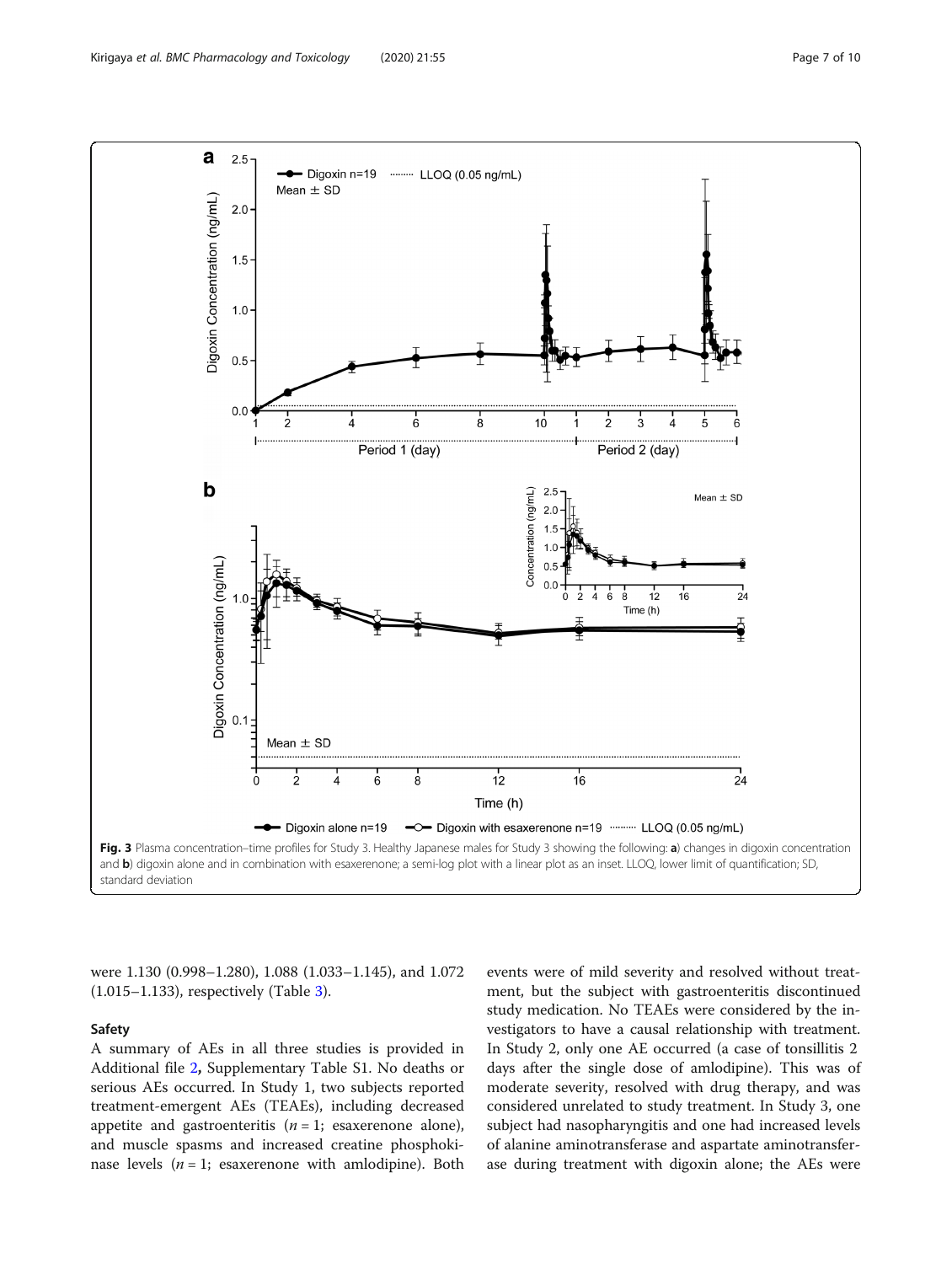<span id="page-6-0"></span>

were 1.130 (0.998–1.280), 1.088 (1.033–1.145), and 1.072 (1.015–1.133), respectively (Table [3](#page-5-0)).

## Safety

A summary of AEs in all three studies is provided in Additional file [2](#page-7-0), Supplementary Table S1. No deaths or serious AEs occurred. In Study 1, two subjects reported treatment-emergent AEs (TEAEs), including decreased appetite and gastroenteritis  $(n = 1;$  esaxerenone alone), and muscle spasms and increased creatine phosphokinase levels  $(n = 1;$  esaxerenone with amlodipine). Both

events were of mild severity and resolved without treatment, but the subject with gastroenteritis discontinued study medication. No TEAEs were considered by the investigators to have a causal relationship with treatment. In Study 2, only one AE occurred (a case of tonsillitis 2 days after the single dose of amlodipine). This was of moderate severity, resolved with drug therapy, and was considered unrelated to study treatment. In Study 3, one subject had nasopharyngitis and one had increased levels of alanine aminotransferase and aspartate aminotransferase during treatment with digoxin alone; the AEs were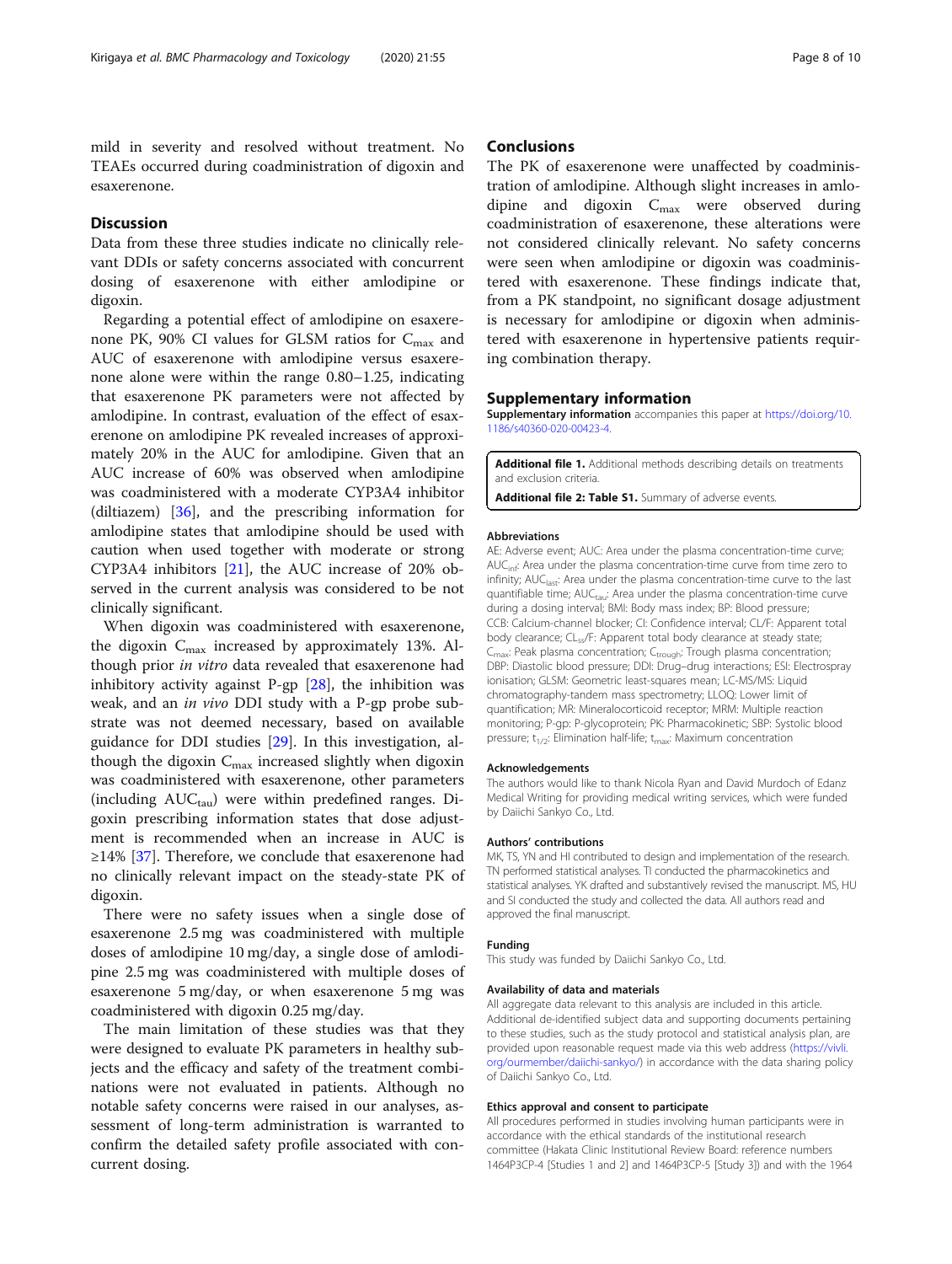<span id="page-7-0"></span>mild in severity and resolved without treatment. No TEAEs occurred during coadministration of digoxin and esaxerenone.

## Discussion

Data from these three studies indicate no clinically relevant DDIs or safety concerns associated with concurrent dosing of esaxerenone with either amlodipine or digoxin.

Regarding a potential effect of amlodipine on esaxerenone PK, 90% CI values for GLSM ratios for  $C_{\text{max}}$  and AUC of esaxerenone with amlodipine versus esaxerenone alone were within the range 0.80–1.25, indicating that esaxerenone PK parameters were not affected by amlodipine. In contrast, evaluation of the effect of esaxerenone on amlodipine PK revealed increases of approximately 20% in the AUC for amlodipine. Given that an AUC increase of 60% was observed when amlodipine was coadministered with a moderate CYP3A4 inhibitor (diltiazem) [[36\]](#page-9-0), and the prescribing information for amlodipine states that amlodipine should be used with caution when used together with moderate or strong CYP3A4 inhibitors [\[21](#page-8-0)], the AUC increase of 20% observed in the current analysis was considered to be not clinically significant.

When digoxin was coadministered with esaxerenone, the digoxin  $C_{\text{max}}$  increased by approximately 13%. Although prior in vitro data revealed that esaxerenone had inhibitory activity against P-gp  $[28]$  $[28]$ , the inhibition was weak, and an in vivo DDI study with a P-gp probe substrate was not deemed necessary, based on available guidance for DDI studies [[29](#page-8-0)]. In this investigation, although the digoxin  $C_{\text{max}}$  increased slightly when digoxin was coadministered with esaxerenone, other parameters (including  $AUC_{tau}$ ) were within predefined ranges. Digoxin prescribing information states that dose adjustment is recommended when an increase in AUC is ≥14% [\[37\]](#page-9-0). Therefore, we conclude that esaxerenone had no clinically relevant impact on the steady-state PK of digoxin.

There were no safety issues when a single dose of esaxerenone 2.5 mg was coadministered with multiple doses of amlodipine 10 mg/day, a single dose of amlodipine 2.5 mg was coadministered with multiple doses of esaxerenone 5 mg/day, or when esaxerenone 5 mg was coadministered with digoxin 0.25 mg/day.

The main limitation of these studies was that they were designed to evaluate PK parameters in healthy subjects and the efficacy and safety of the treatment combinations were not evaluated in patients. Although no notable safety concerns were raised in our analyses, assessment of long-term administration is warranted to confirm the detailed safety profile associated with concurrent dosing.

## **Conclusions**

The PK of esaxerenone were unaffected by coadministration of amlodipine. Although slight increases in amlodipine and digoxin  $C_{\text{max}}$  were observed during coadministration of esaxerenone, these alterations were not considered clinically relevant. No safety concerns were seen when amlodipine or digoxin was coadministered with esaxerenone. These findings indicate that, from a PK standpoint, no significant dosage adjustment is necessary for amlodipine or digoxin when administered with esaxerenone in hypertensive patients requiring combination therapy.

#### Supplementary information

Supplementary information accompanies this paper at [https://doi.org/10.](https://doi.org/10.1186/s40360-020-00423-4) [1186/s40360-020-00423-4](https://doi.org/10.1186/s40360-020-00423-4).

Additional file 1. Additional methods describing details on treatments and exclusion criteria.

Additional file 2: Table S1. Summary of adverse events.

#### Abbreviations

AE: Adverse event; AUC: Area under the plasma concentration-time curve; AUC<sub>inf:</sub> Area under the plasma concentration-time curve from time zero to infinity; AUC<sub>last</sub>: Area under the plasma concentration-time curve to the last quantifiable time; AUCtau: Area under the plasma concentration-time curve during a dosing interval; BMI: Body mass index; BP: Blood pressure; CCB: Calcium-channel blocker; CI: Confidence interval; CL/F: Apparent total body clearance; CL<sub>ss</sub>/F: Apparent total body clearance at steady state; C<sub>max</sub>: Peak plasma concentration; C<sub>trough</sub>: Trough plasma concentration; DBP: Diastolic blood pressure; DDI: Drug–drug interactions; ESI: Electrospray ionisation; GLSM: Geometric least-squares mean; LC-MS/MS: Liquid chromatography-tandem mass spectrometry; LLOQ: Lower limit of quantification; MR: Mineralocorticoid receptor; MRM: Multiple reaction monitoring; P-gp: P-glycoprotein; PK: Pharmacokinetic; SBP: Systolic blood pressure;  $t_{1/2}$ : Elimination half-life;  $t_{\text{max}}$ : Maximum concentration

#### Acknowledgements

The authors would like to thank Nicola Ryan and David Murdoch of Edanz Medical Writing for providing medical writing services, which were funded by Daiichi Sankyo Co., Ltd.

## Authors' contributions

MK, TS, YN and HI contributed to design and implementation of the research. TN performed statistical analyses. TI conducted the pharmacokinetics and statistical analyses. YK drafted and substantively revised the manuscript. MS, HU and SI conducted the study and collected the data. All authors read and approved the final manuscript.

#### Funding

This study was funded by Daiichi Sankyo Co., Ltd.

#### Availability of data and materials

All aggregate data relevant to this analysis are included in this article. Additional de-identified subject data and supporting documents pertaining to these studies, such as the study protocol and statistical analysis plan, are provided upon reasonable request made via this web address [\(https://vivli.](https://vivli.org/ourmember/daiichi-sankyo/) [org/ourmember/daiichi-sankyo/\)](https://vivli.org/ourmember/daiichi-sankyo/) in accordance with the data sharing policy of Daiichi Sankyo Co., Ltd.

#### Ethics approval and consent to participate

All procedures performed in studies involving human participants were in accordance with the ethical standards of the institutional research committee (Hakata Clinic Institutional Review Board: reference numbers 1464P3CP-4 [Studies 1 and 2] and 1464P3CP-5 [Study 3]) and with the 1964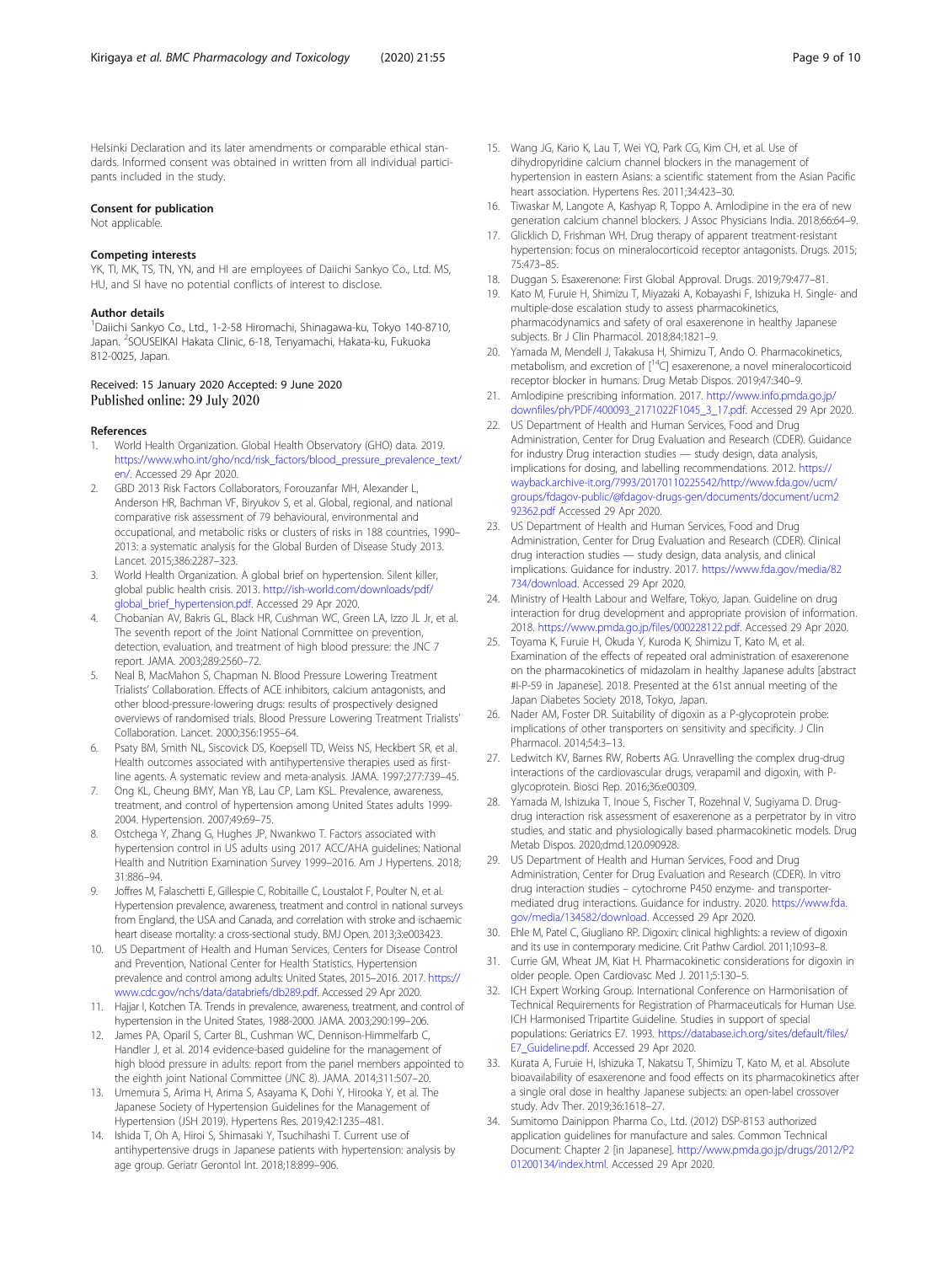<span id="page-8-0"></span>Helsinki Declaration and its later amendments or comparable ethical standards. Informed consent was obtained in written from all individual participants included in the study.

#### Consent for publication

Not applicable.

#### Competing interests

YK, TI, MK, TS, TN, YN, and HI are employees of Daiichi Sankyo Co., Ltd. MS, HU, and SI have no potential conflicts of interest to disclose.

#### Author details

<sup>1</sup>Daiichi Sankyo Co., Ltd., 1-2-58 Hiromachi, Shinagawa-ku, Tokyo 140-8710, Japan. <sup>2</sup>SOUSEIKAI Hakata Clinic, 6-18, Tenyamachi, Hakata-ku, Fukuoka 812-0025, Japan.

#### Received: 15 January 2020 Accepted: 9 June 2020 Published online: 29 July 2020

#### References

- 1. World Health Organization. Global Health Observatory (GHO) data. 2019. [https://www.who.int/gho/ncd/risk\\_factors/blood\\_pressure\\_prevalence\\_text/](https://www.who.int/gho/ncd/risk_factors/blood_pressure_prevalence_text/en/) [en/](https://www.who.int/gho/ncd/risk_factors/blood_pressure_prevalence_text/en/). Accessed 29 Apr 2020.
- 2. GBD 2013 Risk Factors Collaborators, Forouzanfar MH, Alexander L, Anderson HR, Bachman VF, Biryukov S, et al. Global, regional, and national comparative risk assessment of 79 behavioural, environmental and occupational, and metabolic risks or clusters of risks in 188 countries, 1990– 2013: a systematic analysis for the Global Burden of Disease Study 2013. Lancet. 2015;386:2287–323.
- 3. World Health Organization. A global brief on hypertension. Silent killer, global public health crisis. 2013. [http://ish-world.com/downloads/pdf/](http://ish-world.com/downloads/pdf/global_brief_hypertension.pdf) [global\\_brief\\_hypertension.pdf](http://ish-world.com/downloads/pdf/global_brief_hypertension.pdf). Accessed 29 Apr 2020.
- 4. Chobanian AV, Bakris GL, Black HR, Cushman WC, Green LA, Izzo JL Jr, et al. The seventh report of the Joint National Committee on prevention, detection, evaluation, and treatment of high blood pressure: the JNC 7 report. JAMA. 2003;289:2560–72.
- 5. Neal B, MacMahon S, Chapman N. Blood Pressure Lowering Treatment Trialists' Collaboration. Effects of ACE inhibitors, calcium antagonists, and other blood-pressure-lowering drugs: results of prospectively designed overviews of randomised trials. Blood Pressure Lowering Treatment Trialists' Collaboration. Lancet. 2000;356:1955–64.
- 6. Psaty BM, Smith NL, Siscovick DS, Koepsell TD, Weiss NS, Heckbert SR, et al. Health outcomes associated with antihypertensive therapies used as firstline agents. A systematic review and meta-analysis. JAMA. 1997;277:739–45.
- 7. Ong KL, Cheung BMY, Man YB, Lau CP, Lam KSL. Prevalence, awareness, treatment, and control of hypertension among United States adults 1999- 2004. Hypertension. 2007;49:69–75.
- Ostchega Y, Zhang G, Hughes JP, Nwankwo T. Factors associated with hypertension control in US adults using 2017 ACC/AHA guidelines: National Health and Nutrition Examination Survey 1999–2016. Am J Hypertens. 2018; 31:886–94.
- 9. Joffres M, Falaschetti E, Gillespie C, Robitaille C, Loustalot F, Poulter N, et al. Hypertension prevalence, awareness, treatment and control in national surveys from England, the USA and Canada, and correlation with stroke and ischaemic heart disease mortality: a cross-sectional study. BMJ Open. 2013;3:e003423.
- 10. US Department of Health and Human Services, Centers for Disease Control and Prevention, National Center for Health Statistics. Hypertension prevalence and control among adults: United States, 2015–2016. 2017. [https://](https://www.cdc.gov/nchs/data/databriefs/db289.pdf) [www.cdc.gov/nchs/data/databriefs/db289.pdf](https://www.cdc.gov/nchs/data/databriefs/db289.pdf). Accessed 29 Apr 2020.
- 11. Hajjar I, Kotchen TA. Trends in prevalence, awareness, treatment, and control of hypertension in the United States, 1988-2000. JAMA. 2003;290:199–206.
- 12. James PA, Oparil S, Carter BL, Cushman WC, Dennison-Himmelfarb C, Handler J, et al. 2014 evidence-based guideline for the management of high blood pressure in adults: report from the panel members appointed to the eighth joint National Committee (JNC 8). JAMA. 2014;311:507–20.
- 13. Umemura S, Arima H, Arima S, Asayama K, Dohi Y, Hirooka Y, et al. The Japanese Society of Hypertension Guidelines for the Management of Hypertension (JSH 2019). Hypertens Res. 2019;42:1235–481.
- 14. Ishida T, Oh A, Hiroi S, Shimasaki Y, Tsuchihashi T. Current use of antihypertensive drugs in Japanese patients with hypertension: analysis by age group. Geriatr Gerontol Int. 2018;18:899–906.
- 15. Wang JG, Kario K, Lau T, Wei YQ, Park CG, Kim CH, et al. Use of dihydropyridine calcium channel blockers in the management of hypertension in eastern Asians: a scientific statement from the Asian Pacific heart association. Hypertens Res. 2011;34:423–30.
- 16. Tiwaskar M, Langote A, Kashyap R, Toppo A. Amlodipine in the era of new generation calcium channel blockers. J Assoc Physicians India. 2018;66:64–9.
- 17. Glicklich D, Frishman WH. Drug therapy of apparent treatment-resistant hypertension: focus on mineralocorticoid receptor antagonists. Drugs. 2015; 75:473–85.
- 18. Duggan S. Esaxerenone: First Global Approval. Drugs. 2019;79:477–81.
- 19. Kato M, Furuie H, Shimizu T, Miyazaki A, Kobayashi F, Ishizuka H. Single- and multiple-dose escalation study to assess pharmacokinetics, pharmacodynamics and safety of oral esaxerenone in healthy Japanese subjects. Br J Clin Pharmacol. 2018;84:1821–9.
- 20. Yamada M, Mendell J, Takakusa H, Shimizu T, Ando O. Pharmacokinetics, metabolism, and excretion of [14C] esaxerenone, a novel mineralocorticoid receptor blocker in humans. Drug Metab Dispos. 2019;47:340–9.
- 21. Amlodipine prescribing information. 2017. [http://www.info.pmda.go.jp/](http://www.info.pmda.go.jp/downfiles/ph/PDF/400093_2171022F1045_3_17.pdf) [downfiles/ph/PDF/400093\\_2171022F1045\\_3\\_17.pdf](http://www.info.pmda.go.jp/downfiles/ph/PDF/400093_2171022F1045_3_17.pdf). Accessed 29 Apr 2020.
- 22. US Department of Health and Human Services, Food and Drug Administration, Center for Drug Evaluation and Research (CDER). Guidance for industry Drug interaction studies — study design, data analysis, implications for dosing, and labelling recommendations. 2012. [https://](https://wayback.archive-it.org/7993/20170110225542/http://www.fda.gov/ucm/groups/fdagov-public/@fdagov-drugs-gen/documents/document/ucm292362.pdf) [wayback.archive-it.org/7993/20170110225542/http://www.fda.gov/ucm/](https://wayback.archive-it.org/7993/20170110225542/http://www.fda.gov/ucm/groups/fdagov-public/@fdagov-drugs-gen/documents/document/ucm292362.pdf) [groups/fdagov-public/@fdagov-drugs-gen/documents/document/ucm2](https://wayback.archive-it.org/7993/20170110225542/http://www.fda.gov/ucm/groups/fdagov-public/@fdagov-drugs-gen/documents/document/ucm292362.pdf) [92362.pdf](https://wayback.archive-it.org/7993/20170110225542/http://www.fda.gov/ucm/groups/fdagov-public/@fdagov-drugs-gen/documents/document/ucm292362.pdf) Accessed 29 Apr 2020.
- 23. US Department of Health and Human Services, Food and Drug Administration, Center for Drug Evaluation and Research (CDER). Clinical drug interaction studies — study design, data analysis, and clinical implications. Guidance for industry. 2017. [https://www.fda.gov/media/82](https://www.fda.gov/media/82734/download) [734/download](https://www.fda.gov/media/82734/download). Accessed 29 Apr 2020.
- 24. Ministry of Health Labour and Welfare, Tokyo, Japan. Guideline on drug interaction for drug development and appropriate provision of information. 2018. <https://www.pmda.go.jp/files/000228122.pdf>. Accessed 29 Apr 2020.
- 25. Toyama K, Furuie H, Okuda Y, Kuroda K, Shimizu T, Kato M, et al. Examination of the effects of repeated oral administration of esaxerenone on the pharmacokinetics of midazolam in healthy Japanese adults [abstract #I-P-59 in Japanese]. 2018. Presented at the 61st annual meeting of the Japan Diabetes Society 2018, Tokyo, Japan.
- 26. Nader AM, Foster DR. Suitability of digoxin as a P-glycoprotein probe: implications of other transporters on sensitivity and specificity. J Clin Pharmacol. 2014;54:3–13.
- 27. Ledwitch KV, Barnes RW, Roberts AG. Unravelling the complex drug-drug interactions of the cardiovascular drugs, verapamil and digoxin, with Pglycoprotein. Biosci Rep. 2016;36:e00309.
- 28. Yamada M, Ishizuka T, Inoue S, Fischer T, Rozehnal V, Sugiyama D. Drugdrug interaction risk assessment of esaxerenone as a perpetrator by in vitro studies, and static and physiologically based pharmacokinetic models. Drug Metab Dispos. 2020;dmd.120.090928.
- 29. US Department of Health and Human Services, Food and Drug Administration, Center for Drug Evaluation and Research (CDER). In vitro drug interaction studies – cytochrome P450 enzyme- and transportermediated drug interactions. Guidance for industry. 2020. [https://www.fda.](https://www.fda.gov/media/134582/download) [gov/media/134582/download.](https://www.fda.gov/media/134582/download) Accessed 29 Apr 2020.
- 30. Ehle M, Patel C, Giugliano RP. Digoxin: clinical highlights: a review of digoxin and its use in contemporary medicine. Crit Pathw Cardiol. 2011;10:93–8.
- 31. Currie GM, Wheat JM, Kiat H. Pharmacokinetic considerations for digoxin in older people. Open Cardiovasc Med J. 2011;5:130–5.
- 32. ICH Expert Working Group. International Conference on Harmonisation of Technical Requirements for Registration of Pharmaceuticals for Human Use. ICH Harmonised Tripartite Guideline. Studies in support of special populations: Geriatrics E7. 1993. [https://database.ich.org/sites/default/files/](https://database.ich.org/sites/default/files/E7_Guideline.pdf) [E7\\_Guideline.pdf.](https://database.ich.org/sites/default/files/E7_Guideline.pdf) Accessed 29 Apr 2020.
- 33. Kurata A, Furuie H, Ishizuka T, Nakatsu T, Shimizu T, Kato M, et al. Absolute bioavailability of esaxerenone and food effects on its pharmacokinetics after a single oral dose in healthy Japanese subjects: an open-label crossover study. Adv Ther. 2019;36:1618–27.
- 34. Sumitomo Dainippon Pharma Co., Ltd. (2012) DSP-8153 authorized application guidelines for manufacture and sales. Common Technical Document: Chapter 2 [in Japanese]. [http://www.pmda.go.jp/drugs/2012/P2](http://www.pmda.go.jp/drugs/2012/P201200134/index.html) [01200134/index.html](http://www.pmda.go.jp/drugs/2012/P201200134/index.html). Accessed 29 Apr 2020.